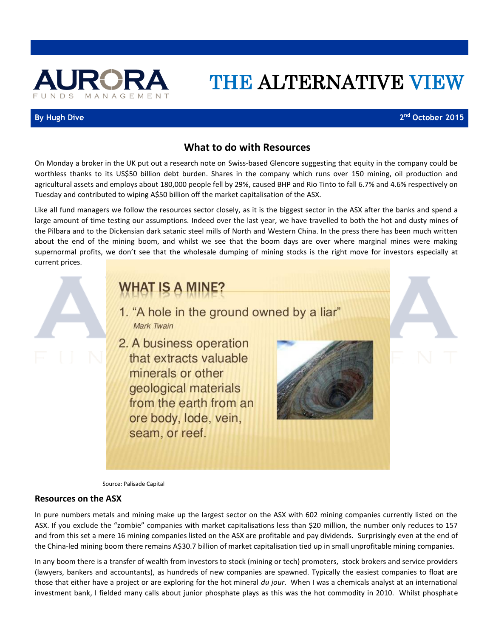

# THE ALTERNATIVE VIEW

### **By Hugh Dive**

**nd October 2015**

### **What to do with Resources**

On Monday a broker in the UK put out a research note on Swiss-based Glencore suggesting that equity in the company could be worthless thanks to its US\$50 billion debt burden. Shares in the company which runs over 150 mining, oil production and agricultural assets and employs about 180,000 people fell by 29%, caused BHP and Rio Tinto to fall 6.7% and 4.6% respectively on Tuesday and contributed to wiping A\$50 billion off the market capitalisation of the ASX.

Like all fund managers we follow the resources sector closely, as it is the biggest sector in the ASX after the banks and spend a large amount of time testing our assumptions. Indeed over the last year, we have travelled to both the hot and dusty mines of the Pilbara and to the Dickensian dark satanic steel mills of North and Western China. In the press there has been much written about the end of the mining boom, and whilst we see that the boom days are over where marginal mines were making supernormal profits, we don't see that the wholesale dumping of mining stocks is the right move for investors especially at current prices.

## **WHAT IS A MINE?**

- 1. "A hole in the ground owned by a liar" Mark Twain
- 2. A business operation that extracts valuable minerals or other geological materials from the earth from an ore body, lode, vein, seam, or reef.



Source: Palisade Capital

### **Resources on the ASX**

In pure numbers metals and mining make up the largest sector on the ASX with 602 mining companies currently listed on the ASX. If you exclude the "zombie" companies with market capitalisations less than \$20 million, the number only reduces to 157 and from this set a mere 16 mining companies listed on the ASX are profitable and pay dividends. Surprisingly even at the end of the China-led mining boom there remains A\$30.7 billion of market capitalisation tied up in small unprofitable mining companies.

In any boom there is a transfer of wealth from investors to stock (mining or tech) promoters, stock brokers and service providers (lawyers, bankers and accountants), as hundreds of new companies are spawned. Typically the easiest companies to float are those that either have a project or are exploring for the hot mineral *du jour*. When I was a chemicals analyst at an international investment bank, I fielded many calls about junior phosphate plays as this was the hot commodity in 2010. Whilst phosphate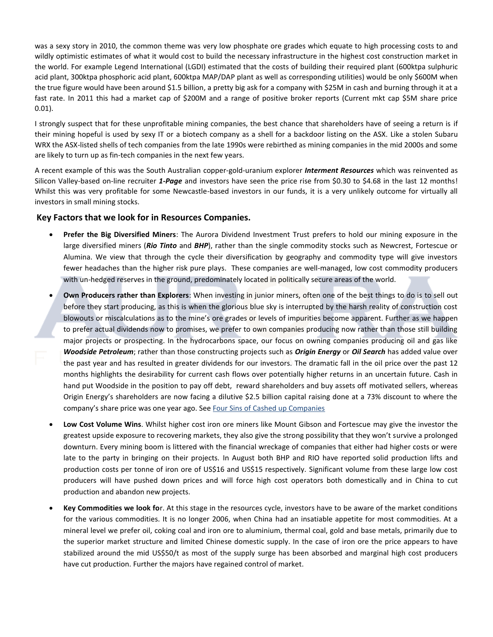was a sexy story in 2010, the common theme was very low phosphate ore grades which equate to high processing costs to and wildly optimistic estimates of what it would cost to build the necessary infrastructure in the highest cost construction market in the world. For example Legend International (LGDI) estimated that the costs of building their required plant (600ktpa sulphuric acid plant, 300ktpa phosphoric acid plant, 600ktpa MAP/DAP plant as well as corresponding utilities) would be only \$600M when the true figure would have been around \$1.5 billion, a pretty big ask for a company with \$25M in cash and burning through it at a fast rate. In 2011 this had a market cap of \$200M and a range of positive broker reports (Current mkt cap \$5M share price 0.01).

I strongly suspect that for these unprofitable mining companies, the best chance that shareholders have of seeing a return is if their mining hopeful is used by sexy IT or a biotech company as a shell for a backdoor listing on the ASX. Like a stolen Subaru WRX the ASX-listed shells of tech companies from the late 1990s were rebirthed as mining companies in the mid 2000s and some are likely to turn up as fin-tech companies in the next few years.

A recent example of this was the South Australian copper-gold-uranium explorer *Interment Resources* which was reinvented as Silicon Valley-based on-line recruiter *1-Page* and investors have seen the price rise from \$0.30 to \$4.68 in the last 12 months! Whilst this was very profitable for some Newcastle-based investors in our funds, it is a very unlikely outcome for virtually all investors in small mining stocks.

### **Key Factors that we look for in Resources Companies.**

- **Prefer the Big Diversified Miners**: The Aurora Dividend Investment Trust prefers to hold our mining exposure in the large diversified miners (*Rio Tinto* and *BHP*), rather than the single commodity stocks such as Newcrest, Fortescue or Alumina. We view that through the cycle their diversification by geography and commodity type will give investors fewer headaches than the higher risk pure plays. These companies are well-managed, low cost commodity producers with un-hedged reserves in the ground, predominately located in politically secure areas of the world.
- **Own Producers rather than Explorers**: When investing in junior miners, often one of the best things to do is to sell out before they start producing, as this is when the glorious blue sky is interrupted by the harsh reality of construction cost blowouts or miscalculations as to the mine's ore grades or levels of impurities become apparent. Further as we happen to prefer actual dividends now to promises, we prefer to own companies producing now rather than those still building major projects or prospecting. In the hydrocarbons space, our focus on owning companies producing oil and gas like *Woodside Petroleum*; rather than those constructing projects such as *Origin Energy* or *Oil Search* has added value over the past year and has resulted in greater dividends for our investors. The dramatic fall in the oil price over the past 12 months highlights the desirability for current cash flows over potentially higher returns in an uncertain future. Cash in hand put Woodside in the position to pay off debt, reward shareholders and buy assets off motivated sellers, whereas Origin Energy's shareholders are now facing a dilutive \$2.5 billion capital raising done at a 73% discount to where the company's share price was one year ago. Se[e Four Sins of Cashed up Companies](http://www.aurorafunds.com.au/wp-content/uploads/four_sins.pdf)
- **Low Cost Volume Wins**. Whilst higher cost iron ore miners like Mount Gibson and Fortescue may give the investor the greatest upside exposure to recovering markets, they also give the strong possibility that they won't survive a prolonged downturn. Every mining boom is littered with the financial wreckage of companies that either had higher costs or were late to the party in bringing on their projects. In August both BHP and RIO have reported solid production lifts and production costs per tonne of iron ore of US\$16 and US\$15 respectively. Significant volume from these large low cost producers will have pushed down prices and will force high cost operators both domestically and in China to cut production and abandon new projects.
- **Key Commodities we look fo**r. At this stage in the resources cycle, investors have to be aware of the market conditions for the various commodities. It is no longer 2006, when China had an insatiable appetite for most commodities. At a mineral level we prefer oil, coking coal and iron ore to aluminium, thermal coal, gold and base metals, primarily due to the superior market structure and limited Chinese domestic supply. In the case of iron ore the price appears to have stabilized around the mid US\$50/t as most of the supply surge has been absorbed and marginal high cost producers have cut production. Further the majors have regained control of market.